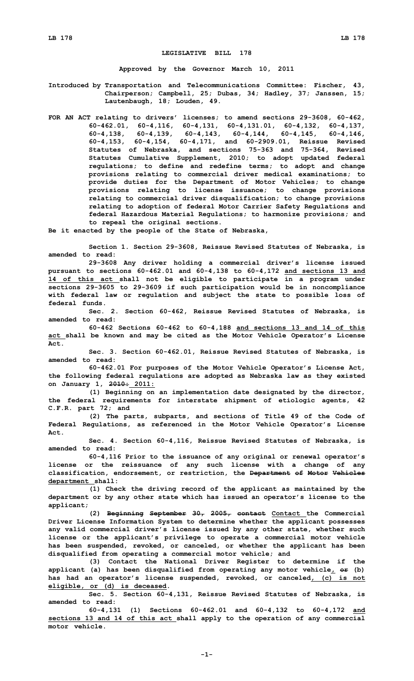## **LEGISLATIVE BILL 178**

**Approved by the Governor March 10, 2011**

**Introduced by Transportation and Telecommunications Committee: Fischer, 43, Chairperson; Campbell, 25; Dubas, 34; Hadley, 37; Janssen, 15; Lautenbaugh, 18; Louden, 49.**

**FOR AN ACT relating to drivers' licenses; to amend sections 29-3608, 60-462, 60-462.01, 60-4,116, 60-4,131, 60-4,131.01, 60-4,132, 60-4,137, 60-4,138, 60-4,139, 60-4,143, 60-4,144, 60-4,145, 60-4,146, 60-4,153, 60-4,154, 60-4,171, and 60-2909.01, Reissue Revised Statutes of Nebraska, and sections 75-363 and 75-364, Revised Statutes Cumulative Supplement, 2010; to adopt updated federal regulations; to define and redefine terms; to adopt and change provisions relating to commercial driver medical examinations; to provide duties for the Department of Motor Vehicles; to change provisions relating to license issuance; to change provisions relating to commercial driver disqualification; to change provisions relating to adoption of federal Motor Carrier Safety Regulations and federal Hazardous Material Regulations; to harmonize provisions; and to repeal the original sections.**

**Be it enacted by the people of the State of Nebraska,**

**Section 1. Section 29-3608, Reissue Revised Statutes of Nebraska, is amended to read:**

**29-3608 Any driver holding <sup>a</sup> commercial driver's license issued pursuant to sections 60-462.01 and 60-4,138 to 60-4,172 and sections 13 and 14 of this act shall not be eligible to participate in <sup>a</sup> program under sections 29-3605 to 29-3609 if such participation would be in noncompliance with federal law or regulation and subject the state to possible loss of federal funds.**

**Sec. 2. Section 60-462, Reissue Revised Statutes of Nebraska, is amended to read:**

**60-462 Sections 60-462 to 60-4,188 and sections 13 and 14 of this act shall be known and may be cited as the Motor Vehicle Operator's License Act.**

**Sec. 3. Section 60-462.01, Reissue Revised Statutes of Nebraska, is amended to read:**

**60-462.01 For purposes of the Motor Vehicle Operator's License Act, the following federal regulations are adopted as Nebraska law as they existed on January 1, 2010: 2011:**

**(1) Beginning on an implementation date designated by the director, the federal requirements for interstate shipment of etiologic agents, 42 C.F.R. part 72; and**

**(2) The parts, subparts, and sections of Title 49 of the Code of Federal Regulations, as referenced in the Motor Vehicle Operator's License Act.**

**Sec. 4. Section 60-4,116, Reissue Revised Statutes of Nebraska, is amended to read:**

**60-4,116 Prior to the issuance of any original or renewal operator's license or the reissuance of any such license with <sup>a</sup> change of any classification, endorsement, or restriction, the Department of Motor Vehicles department shall:**

**(1) Check the driving record of the applicant as maintained by the department or by any other state which has issued an operator's license to the applicant;**

**(2) Beginning September 30, 2005, contact Contact the Commercial Driver License Information System to determine whether the applicant possesses any valid commercial driver's license issued by any other state, whether such license or the applicant's privilege to operate <sup>a</sup> commercial motor vehicle has been suspended, revoked, or canceled, or whether the applicant has been disqualified from operating <sup>a</sup> commercial motor vehicle; and**

**(3) Contact the National Driver Register to determine if the applicant (a) has been disqualified from operating any motor vehicle, or (b) has had an operator's license suspended, revoked, or canceled, (c) is not eligible, or (d) is deceased.**

**Sec. 5. Section 60-4,131, Reissue Revised Statutes of Nebraska, is amended to read:**

**60-4,131 (1) Sections 60-462.01 and 60-4,132 to 60-4,172 and sections 13 and 14 of this act shall apply to the operation of any commercial motor vehicle.**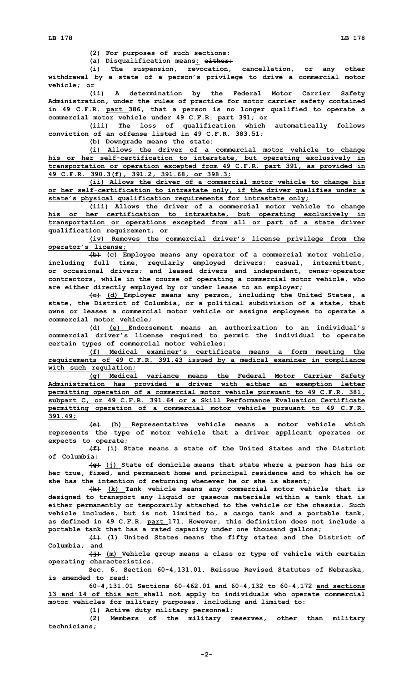**(2) For purposes of such sections:**

**(a) Disqualification means: either:**

**(i) The suspension, revocation, cancellation, or any other withdrawal by <sup>a</sup> state of <sup>a</sup> person's privilege to drive <sup>a</sup> commercial motor vehicle; or**

**(ii) <sup>A</sup> determination by the Federal Motor Carrier Safety Administration, under the rules of practice for motor carrier safety contained in 49 C.F.R. part 386, that <sup>a</sup> person is no longer qualified to operate <sup>a</sup> commercial motor vehicle under 49 C.F.R. part 391; or**

**(iii) The loss of qualification which automatically follows conviction of an offense listed in 49 C.F.R. 383.51;**

**(b) Downgrade means the state:**

**(i) Allows the driver of <sup>a</sup> commercial motor vehicle to change his or her self-certification to interstate, but operating exclusively in transportation or operation excepted from 49 C.F.R. part 391, as provided in 49 C.F.R. 390.3(f), 391.2, 391.68, or 398.3;**

**(ii) Allows the driver of <sup>a</sup> commercial motor vehicle to change his or her self-certification to intrastate only, if the driver qualifies under <sup>a</sup> state's physical qualification requirements for intrastate only;**

**(iii) Allows the driver of <sup>a</sup> commercial motor vehicle to change his or her certification to intrastate, but operating exclusively in transportation or operations excepted from all or part of <sup>a</sup> state driver qualification requirement; or**

**(iv) Removes the commercial driver's license privilege from the operator's license;**

**(b) (c) Employee means any operator of <sup>a</sup> commercial motor vehicle, including full time, regularly employed drivers; casual, intermittent, or occasional drivers; and leased drivers and independent, owner-operator contractors, while in the course of operating <sup>a</sup> commercial motor vehicle, who are either directly employed by or under lease to an employer;**

**(c) (d) Employer means any person, including the United States, <sup>a</sup> state, the District of Columbia, or <sup>a</sup> political subdivision of <sup>a</sup> state, that owns or leases <sup>a</sup> commercial motor vehicle or assigns employees to operate <sup>a</sup> commercial motor vehicle;**

**(d) (e) Endorsement means an authorization to an individual's commercial driver's license required to permit the individual to operate certain types of commercial motor vehicles;**

**(f) Medical examiner's certificate means <sup>a</sup> form meeting the requirements of 49 C.F.R. 391.43 issued by <sup>a</sup> medical examiner in compliance with such regulation;**

**(g) Medical variance means the Federal Motor Carrier Safety Administration has provided <sup>a</sup> driver with either an exemption letter permitting operation of <sup>a</sup> commercial motor vehicle pursuant to 49 C.F.R. 381, subpart C, or 49 C.F.R. 391.64 or <sup>a</sup> Skill Performance Evaluation Certificate permitting operation of <sup>a</sup> commercial motor vehicle pursuant to 49 C.F.R. 391.49;**

**(e) (h) Representative vehicle means <sup>a</sup> motor vehicle which represents the type of motor vehicle that <sup>a</sup> driver applicant operates or expects to operate;**

**(f) (i) State means <sup>a</sup> state of the United States and the District of Columbia;**

**(g) (j) State of domicile means that state where <sup>a</sup> person has his or her true, fixed, and permanent home and principal residence and to which he or she has the intention of returning whenever he or she is absent;**

**(h) (k) Tank vehicle means any commercial motor vehicle that is designed to transport any liquid or gaseous materials within <sup>a</sup> tank that is either permanently or temporarily attached to the vehicle or the chassis. Such vehicle includes, but is not limited to, <sup>a</sup> cargo tank and <sup>a</sup> portable tank, as defined in 49 C.F.R. part 171. However, this definition does not include <sup>a</sup> portable tank that has <sup>a</sup> rated capacity under one thousand gallons;**

**(i) (l) United States means the fifty states and the District of Columbia; and**

**(j) (m) Vehicle group means <sup>a</sup> class or type of vehicle with certain operating characteristics.**

**Sec. 6. Section 60-4,131.01, Reissue Revised Statutes of Nebraska, is amended to read:**

**60-4,131.01 Sections 60-462.01 and 60-4,132 to 60-4,172 and sections 13 and 14 of this act shall not apply to individuals who operate commercial motor vehicles for military purposes, including and limited to:**

**(1) Active duty military personnel;**

**(2) Members of the military reserves, other than military technicians;**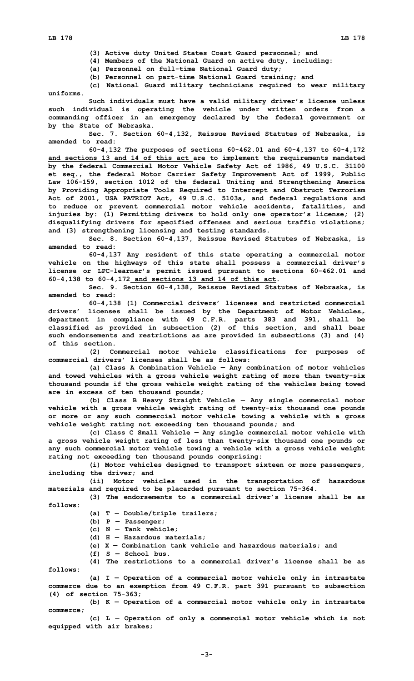**(3) Active duty United States Coast Guard personnel; and**

**(4) Members of the National Guard on active duty, including:**

**(a) Personnel on full-time National Guard duty;**

**(b) Personnel on part-time National Guard training; and**

**(c) National Guard military technicians required to wear military uniforms.**

**Such individuals must have <sup>a</sup> valid military driver's license unless such individual is operating the vehicle under written orders from <sup>a</sup> commanding officer in an emergency declared by the federal government or by the State of Nebraska.**

**Sec. 7. Section 60-4,132, Reissue Revised Statutes of Nebraska, is amended to read:**

**60-4,132 The purposes of sections 60-462.01 and 60-4,137 to 60-4,172 and sections 13 and 14 of this act are to implement the requirements mandated by the federal Commercial Motor Vehicle Safety Act of 1986, 49 U.S.C. 31100 et seq., the federal Motor Carrier Safety Improvement Act of 1999, Public Law 106-159, section 1012 of the federal Uniting and Strengthening America by Providing Appropriate Tools Required to Intercept and Obstruct Terrorism Act of 2001, USA PATRIOT Act, 49 U.S.C. 5103a, and federal regulations and to reduce or prevent commercial motor vehicle accidents, fatalities, and injuries by: (1) Permitting drivers to hold only one operator's license; (2) disqualifying drivers for specified offenses and serious traffic violations; and (3) strengthening licensing and testing standards.**

**Sec. 8. Section 60-4,137, Reissue Revised Statutes of Nebraska, is amended to read:**

**60-4,137 Any resident of this state operating <sup>a</sup> commercial motor vehicle on the highways of this state shall possess <sup>a</sup> commercial driver's license or LPC-learner's permit issued pursuant to sections 60-462.01 and 60-4,138 to 60-4,172 and sections 13 and 14 of this act.**

**Sec. 9. Section 60-4,138, Reissue Revised Statutes of Nebraska, is amended to read:**

**60-4,138 (1) Commercial drivers' licenses and restricted commercial drivers' licenses shall be issued by the Department of Motor Vehicles, department in compliance with 49 C.F.R. parts 383 and 391, shall be classified as provided in subsection (2) of this section, and shall bear such endorsements and restrictions as are provided in subsections (3) and (4) of this section.**

**(2) Commercial motor vehicle classifications for purposes of commercial drivers' licenses shall be as follows:**

**(a) Class <sup>A</sup> Combination Vehicle — Any combination of motor vehicles and towed vehicles with <sup>a</sup> gross vehicle weight rating of more than twenty-six thousand pounds if the gross vehicle weight rating of the vehicles being towed are in excess of ten thousand pounds;**

**(b) Class <sup>B</sup> Heavy Straight Vehicle — Any single commercial motor vehicle with <sup>a</sup> gross vehicle weight rating of twenty-six thousand one pounds or more or any such commercial motor vehicle towing <sup>a</sup> vehicle with <sup>a</sup> gross vehicle weight rating not exceeding ten thousand pounds; and**

**(c) Class C Small Vehicle — Any single commercial motor vehicle with <sup>a</sup> gross vehicle weight rating of less than twenty-six thousand one pounds or any such commercial motor vehicle towing <sup>a</sup> vehicle with <sup>a</sup> gross vehicle weight rating not exceeding ten thousand pounds comprising:**

**(i) Motor vehicles designed to transport sixteen or more passengers, including the driver; and**

**(ii) Motor vehicles used in the transportation of hazardous materials and required to be placarded pursuant to section 75-364.**

**(3) The endorsements to <sup>a</sup> commercial driver's license shall be as follows:**

**(a) <sup>T</sup> — Double/triple trailers;**

- **(b) <sup>P</sup> — Passenger;**
- **(c) N — Tank vehicle;**
- **(d) H — Hazardous materials;**
- **(e) X — Combination tank vehicle and hazardous materials; and**

**(f) S — School bus.**

**(4) The restrictions to <sup>a</sup> commercial driver's license shall be as follows:**

**(a) <sup>I</sup> — Operation of <sup>a</sup> commercial motor vehicle only in intrastate commerce due to an exemption from 49 C.F.R. part 391 pursuant to subsection (4) of section 75-363;**

**(b) <sup>K</sup> — Operation of <sup>a</sup> commercial motor vehicle only in intrastate commerce;**

**(c) <sup>L</sup> — Operation of only <sup>a</sup> commercial motor vehicle which is not equipped with air brakes;**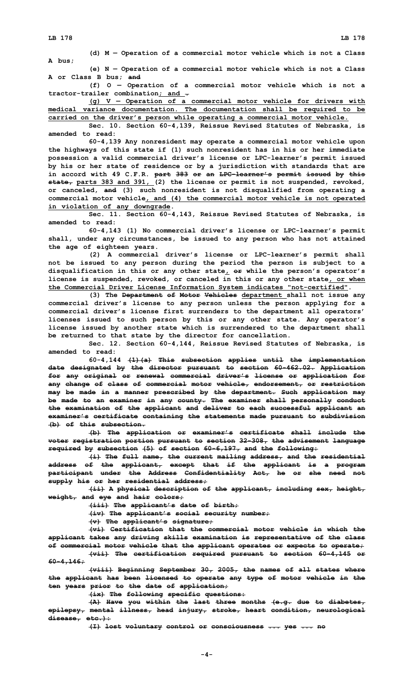**(d) <sup>M</sup> — Operation of <sup>a</sup> commercial motor vehicle which is not <sup>a</sup> Class A bus;**

**(e) <sup>N</sup> — Operation of <sup>a</sup> commercial motor vehicle which is not <sup>a</sup> Class A or Class B bus; and**

**(f) O — Operation of <sup>a</sup> commercial motor vehicle which is not <sup>a</sup> tractor-trailer combination; and .**

**(g) <sup>V</sup> — Operation of <sup>a</sup> commercial motor vehicle for drivers with medical variance documentation. The documentation shall be required to be carried on the driver's person while operating <sup>a</sup> commercial motor vehicle.**

**Sec. 10. Section 60-4,139, Reissue Revised Statutes of Nebraska, is amended to read:**

**60-4,139 Any nonresident may operate <sup>a</sup> commercial motor vehicle upon the highways of this state if (1) such nonresident has in his or her immediate possession <sup>a</sup> valid commercial driver's license or LPC-learner's permit issued by his or her state of residence or by <sup>a</sup> jurisdiction with standards that are in accord with 49 C.F.R. part 383 or an LPC-learner's permit issued by this state, parts 383 and 391, (2) the license or permit is not suspended, revoked, or canceled, and (3) such nonresident is not disqualified from operating <sup>a</sup> commercial motor vehicle, and (4) the commercial motor vehicle is not operated in violation of any downgrade.**

**Sec. 11. Section 60-4,143, Reissue Revised Statutes of Nebraska, is amended to read:**

**60-4,143 (1) No commercial driver's license or LPC-learner's permit shall, under any circumstances, be issued to any person who has not attained the age of eighteen years.**

**(2) <sup>A</sup> commercial driver's license or LPC-learner's permit shall not be issued to any person during the period the person is subject to <sup>a</sup> disqualification in this or any other state, or while the person's operator's license is suspended, revoked, or canceled in this or any other state, or when the Commercial Driver License Information System indicates "not-certified".**

**(3) The Department of Motor Vehicles department shall not issue any commercial driver's license to any person unless the person applying for <sup>a</sup> commercial driver's license first surrenders to the department all operators' licenses issued to such person by this or any other state. Any operator's license issued by another state which is surrendered to the department shall be returned to that state by the director for cancellation.**

**Sec. 12. Section 60-4,144, Reissue Revised Statutes of Nebraska, is amended to read:**

**60-4,144 (1)(a) This subsection applies until the implementation date designated by the director pursuant to section 60-462.02. Application for any original or renewal commercial driver's license or application for any change of class of commercial motor vehicle, endorsement, or restriction may be made in <sup>a</sup> manner prescribed by the department. Such application may be made to an examiner in any county. The examiner shall personally conduct the examination of the applicant and deliver to each successful applicant an examiner's certificate containing the statements made pursuant to subdivision (b) of this subsection.**

**(b) The application or examiner's certificate shall include the voter registration portion pursuant to section 32-308, the advisement language required by subsection (5) of section 60-6,197, and the following:**

**(i) The full name, the current mailing address, and the residential address of the applicant, except that if the applicant is <sup>a</sup> program participant under the Address Confidentiality Act, he or she need not supply his or her residential address;**

**(ii) <sup>A</sup> physical description of the applicant, including sex, height, weight, and eye and hair colors;**

**(iii) The applicant's date of birth;**

**(iv) The applicant's social security number;**

**(v) The applicant's signature;**

**(vi) Certification that the commercial motor vehicle in which the applicant takes any driving skills examination is representative of the class of commercial motor vehicle that the applicant operates or expects to operate; (vii) The certification required pursuant to section 60-4,145 or**

**60-4,146; (viii) Beginning September 30, 2005, the names of all states where the applicant has been licensed to operate any type of motor vehicle in the**

**ten years prior to the date of application; (ix) The following specific questions:**

**(A) Have you within the last three months (e.g. due to diabetes, epilepsy, mental illness, head injury, stroke, heart condition, neurological disease, etc.):**

**(I) lost voluntary control or consciousness ... yes ... no**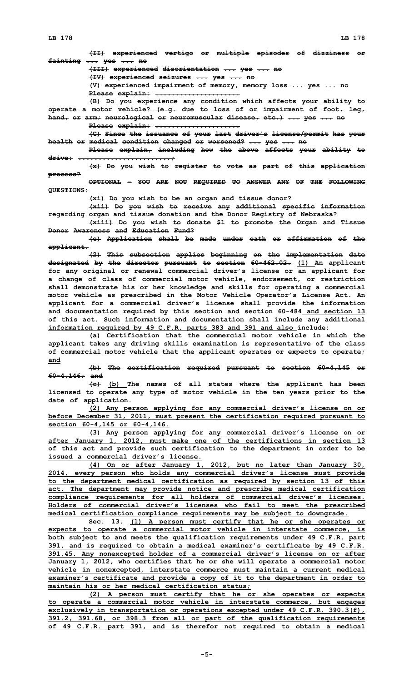**(II) experienced vertigo or multiple episodes of dizziness or fainting ... yes ... no (III) experienced disorientation ... yes ... no (IV) experienced seizures ... yes ... no (V) experienced impairment of memory, memory loss ... yes ... no**

**Please explain: .....................**

**(B) Do you experience any condition which affects your ability to operate <sup>a</sup> motor vehicle? (e.g. due to loss of or impairment of foot, leg, hand, or arm; neurological or neuromuscular disease, etc.) ... yes ... no Please explain: .....................**

**(C) Since the issuance of your last driver's license/permit has your health or medical condition changed or worsened? ... yes ... no**

**Please explain, including how the above affects your ability to drive: .......................;**

**(x) Do you wish to register to vote as part of this application process?**

**OPTIONAL - YOU ARE NOT REQUIRED TO ANSWER ANY OF THE FOLLOWING QUESTIONS:**

**(xi) Do you wish to be an organ and tissue donor?**

**(xii) Do you wish to receive any additional specific information regarding organ and tissue donation and the Donor Registry of Nebraska?**

**(xiii) Do you wish to donate \$1 to promote the Organ and Tissue Donor Awareness and Education Fund?**

**(c) Application shall be made under oath or affirmation of the applicant.**

**(2) This subsection applies beginning on the implementation date designated by the director pursuant to section 60-462.02. (1) An applicant for any original or renewal commercial driver's license or an applicant for <sup>a</sup> change of class of commercial motor vehicle, endorsement, or restriction shall demonstrate his or her knowledge and skills for operating <sup>a</sup> commercial motor vehicle as prescribed in the Motor Vehicle Operator's License Act. An applicant for <sup>a</sup> commercial driver's license shall provide the information and documentation required by this section and section 60-484 and section 13 of this act. Such information and documentation shall include any additional information required by 49 C.F.R. parts 383 and 391 and also include:**

**(a) Certification that the commercial motor vehicle in which the applicant takes any driving skills examination is representative of the class of commercial motor vehicle that the applicant operates or expects to operate; and**

**(b) The certification required pursuant to section 60-4,145 or 60-4,146; and**

**(c) (b) The names of all states where the applicant has been licensed to operate any type of motor vehicle in the ten years prior to the date of application.**

**(2) Any person applying for any commercial driver's license on or before December 31, 2011, must present the certification required pursuant to section 60-4,145 or 60-4,146.**

**(3) Any person applying for any commercial driver's license on or after January 1, 2012, must make one of the certifications in section 13 of this act and provide such certification to the department in order to be issued a commercial driver's license.**

**(4) On or after January 1, 2012, but no later than January 30, 2014, every person who holds any commercial driver's license must provide to the department medical certification as required by section 13 of this act. The department may provide notice and prescribe medical certification compliance requirements for all holders of commercial driver's licenses. Holders of commercial driver's licenses who fail to meet the prescribed medical certification compliance requirements may be subject to downgrade.**

**Sec. 13. (1) <sup>A</sup> person must certify that he or she operates or expects to operate <sup>a</sup> commercial motor vehicle in interstate commerce, is both subject to and meets the qualification requirements under 49 C.F.R. part 391, and is required to obtain <sup>a</sup> medical examiner's certificate by 49 C.F.R. 391.45. Any nonexcepted holder of <sup>a</sup> commercial driver's license on or after January 1, 2012, who certifies that he or she will operate <sup>a</sup> commercial motor vehicle in nonexcepted, interstate commerce must maintain <sup>a</sup> current medical examiner's certificate and provide <sup>a</sup> copy of it to the department in order to maintain his or her medical certification status;**

**(2) <sup>A</sup> person must certify that he or she operates or expects to operate <sup>a</sup> commercial motor vehicle in interstate commerce, but engages exclusively in transportation or operations excepted under 49 C.F.R. 390.3(f), 391.2, 391.68, or 398.3 from all or part of the qualification requirements of 49 C.F.R. part 391, and is therefor not required to obtain <sup>a</sup> medical**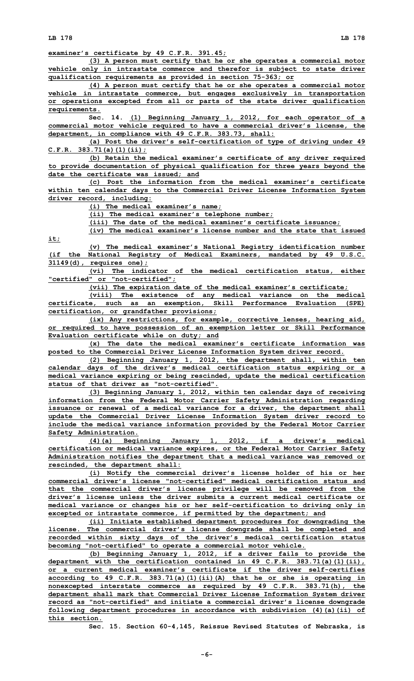**LB 178 LB 178**

**examiner's certificate by 49 C.F.R. 391.45;**

**(3) <sup>A</sup> person must certify that he or she operates <sup>a</sup> commercial motor vehicle only in intrastate commerce and therefor is subject to state driver qualification requirements as provided in section 75-363; or**

**(4) <sup>A</sup> person must certify that he or she operates <sup>a</sup> commercial motor vehicle in intrastate commerce, but engages exclusively in transportation or operations excepted from all or parts of the state driver qualification requirements.**

**Sec. 14. (1) Beginning January 1, 2012, for each operator of <sup>a</sup> commercial motor vehicle required to have <sup>a</sup> commercial driver's license, the department, in compliance with 49 C.F.R. 383.73, shall:**

**(a) Post the driver's self-certification of type of driving under 49 C.F.R. 383.71(a)(1)(ii);**

**(b) Retain the medical examiner's certificate of any driver required to provide documentation of physical qualification for three years beyond the date the certificate was issued; and**

**(c) Post the information from the medical examiner's certificate within ten calendar days to the Commercial Driver License Information System driver record, including:**

**(i) The medical examiner's name;**

**(ii) The medical examiner's telephone number;**

**(iii) The date of the medical examiner's certificate issuance;**

**(iv) The medical examiner's license number and the state that issued it;**

**(v) The medical examiner's National Registry identification number (if the National Registry of Medical Examiners, mandated by 49 U.S.C. 31149(d), requires one);**

**(vi) The indicator of the medical certification status, either "certified" or "not-certified";**

**(vii) The expiration date of the medical examiner's certificate;**

**(viii) The existence of any medical variance on the medical certificate, such as an exemption, Skill Performance Evaluation (SPE) certification, or grandfather provisions;**

**(ix) Any restrictions, for example, corrective lenses, hearing aid, or required to have possession of an exemption letter or Skill Performance Evaluation certificate while on duty; and**

**(x) The date the medical examiner's certificate information was posted to the Commercial Driver License Information System driver record.**

**(2) Beginning January 1, 2012, the department shall, within ten calendar days of the driver's medical certification status expiring or <sup>a</sup> medical variance expiring or being rescinded, update the medical certification status of that driver as "not-certified".**

**(3) Beginning January 1, 2012, within ten calendar days of receiving information from the Federal Motor Carrier Safety Administration regarding issuance or renewal of <sup>a</sup> medical variance for <sup>a</sup> driver, the department shall update the Commercial Driver License Information System driver record to include the medical variance information provided by the Federal Motor Carrier Safety Administration.**

**(4)(a) Beginning January 1, 2012, if <sup>a</sup> driver's medical certification or medical variance expires, or the Federal Motor Carrier Safety Administration notifies the department that <sup>a</sup> medical variance was removed or rescinded, the department shall:**

**(i) Notify the commercial driver's license holder of his or her commercial driver's license "not-certified" medical certification status and that the commercial driver's license privilege will be removed from the driver's license unless the driver submits a current medical certificate or medical variance or changes his or her self-certification to driving only in excepted or intrastate commerce, if permitted by the department; and**

**(ii) Initiate established department procedures for downgrading the license. The commercial driver's license downgrade shall be completed and recorded within sixty days of the driver's medical certification status becoming "not-certified" to operate <sup>a</sup> commercial motor vehicle.**

**(b) Beginning January 1, 2012, if <sup>a</sup> driver fails to provide the department with the certification contained in 49 C.F.R. 383.71(a)(1)(ii), or a current medical examiner's certificate if the driver self-certifies according to 49 C.F.R. 383.71(a)(1)(ii)(A) that he or she is operating in nonexcepted interstate commerce as required by 49 C.F.R. 383.71(h), the department shall mark that Commercial Driver License Information System driver record as "not-certified" and initiate <sup>a</sup> commercial driver's license downgrade following department procedures in accordance with subdivision (4)(a)(ii) of this section.**

**Sec. 15. Section 60-4,145, Reissue Revised Statutes of Nebraska, is**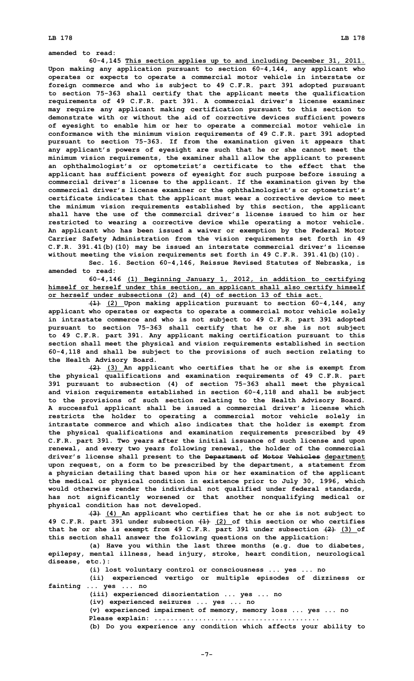**amended to read:**

**60-4,145 This section applies up to and including December 31, 2011. Upon making any application pursuant to section 60-4,144, any applicant who operates or expects to operate <sup>a</sup> commercial motor vehicle in interstate or foreign commerce and who is subject to 49 C.F.R. part 391 adopted pursuant to section 75-363 shall certify that the applicant meets the qualification requirements of 49 C.F.R. part 391. <sup>A</sup> commercial driver's license examiner may require any applicant making certification pursuant to this section to demonstrate with or without the aid of corrective devices sufficient powers of eyesight to enable him or her to operate <sup>a</sup> commercial motor vehicle in conformance with the minimum vision requirements of 49 C.F.R. part 391 adopted pursuant to section 75-363. If from the examination given it appears that any applicant's powers of eyesight are such that he or she cannot meet the minimum vision requirements, the examiner shall allow the applicant to present an ophthalmologist's or optometrist's certificate to the effect that the applicant has sufficient powers of eyesight for such purpose before issuing <sup>a</sup> commercial driver's license to the applicant. If the examination given by the commercial driver's license examiner or the ophthalmologist's or optometrist's certificate indicates that the applicant must wear <sup>a</sup> corrective device to meet the minimum vision requirements established by this section, the applicant shall have the use of the commercial driver's license issued to him or her restricted to wearing <sup>a</sup> corrective device while operating <sup>a</sup> motor vehicle. An applicant who has been issued <sup>a</sup> waiver or exemption by the Federal Motor Carrier Safety Administration from the vision requirements set forth in 49 C.F.R. 391.41(b)(10) may be issued an interstate commercial driver's license without meeting the vision requirements set forth in 49 C.F.R. 391.41(b)(10).**

**Sec. 16. Section 60-4,146, Reissue Revised Statutes of Nebraska, is amended to read:**

**60-4,146 (1) Beginning January 1, 2012, in addition to certifying himself or herself under this section, an applicant shall also certify himself or herself under subsections (2) and (4) of section 13 of this act.**

**(1) (2) Upon making application pursuant to section 60-4,144, any applicant who operates or expects to operate <sup>a</sup> commercial motor vehicle solely in intrastate commerce and who is not subject to 49 C.F.R. part 391 adopted pursuant to section 75-363 shall certify that he or she is not subject to 49 C.F.R. part 391. Any applicant making certification pursuant to this section shall meet the physical and vision requirements established in section 60-4,118 and shall be subject to the provisions of such section relating to the Health Advisory Board.**

**(2) (3) An applicant who certifies that he or she is exempt from the physical qualifications and examination requirements of 49 C.F.R. part 391 pursuant to subsection (4) of section 75-363 shall meet the physical and vision requirements established in section 60-4,118 and shall be subject to the provisions of such section relating to the Health Advisory Board. A successful applicant shall be issued <sup>a</sup> commercial driver's license which restricts the holder to operating <sup>a</sup> commercial motor vehicle solely in intrastate commerce and which also indicates that the holder is exempt from the physical qualifications and examination requirements prescribed by 49 C.F.R. part 391. Two years after the initial issuance of such license and upon renewal, and every two years following renewal, the holder of the commercial driver's license shall present to the Department of Motor Vehicles department upon request, on <sup>a</sup> form to be prescribed by the department, <sup>a</sup> statement from <sup>a</sup> physician detailing that based upon his or her examination of the applicant the medical or physical condition in existence prior to July 30, 1996, which would otherwise render the individual not qualified under federal standards, has not significantly worsened or that another nonqualifying medical or physical condition has not developed.**

**(3) (4) An applicant who certifies that he or she is not subject to 49 C.F.R. part 391 under subsection (1) (2) of this section or who certifies that he or she is exempt from 49 C.F.R. part 391 under subsection (2) (3) of this section shall answer the following questions on the application:**

**(a) Have you within the last three months (e.g. due to diabetes, epilepsy, mental illness, head injury, stroke, heart condition, neurological disease, etc.):**

**(i) lost voluntary control or consciousness ... yes ... no**

**(ii) experienced vertigo or multiple episodes of dizziness or fainting ... yes ... no**

**(iii) experienced disorientation ... yes ... no**

**(iv) experienced seizures ... yes ... no**

**(v) experienced impairment of memory, memory loss ... yes ... no**

**Please explain: ......................................... (b) Do you experience any condition which affects your ability to**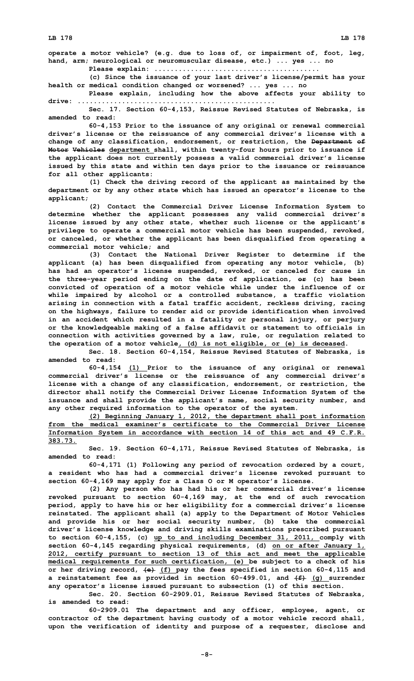**LB 178 LB 178**

**operate <sup>a</sup> motor vehicle? (e.g. due to loss of, or impairment of, foot, leg, hand, arm; neurological or neuromuscular disease, etc.) ... yes ... no**

**Please explain: ......................................... (c) Since the issuance of your last driver's license/permit has your**

**health or medical condition changed or worsened? ... yes ... no Please explain, including how the above affects your ability to**

**drive: ................................................. Sec. 17. Section 60-4,153, Reissue Revised Statutes of Nebraska, is**

**amended to read:**

**60-4,153 Prior to the issuance of any original or renewal commercial driver's license or the reissuance of any commercial driver's license with <sup>a</sup> change of any classification, endorsement, or restriction, the Department of Motor Vehicles department shall, within twenty-four hours prior to issuance if the applicant does not currently possess <sup>a</sup> valid commercial driver's license issued by this state and within ten days prior to the issuance or reissuance for all other applicants:**

**(1) Check the driving record of the applicant as maintained by the department or by any other state which has issued an operator's license to the applicant;**

**(2) Contact the Commercial Driver License Information System to determine whether the applicant possesses any valid commercial driver's license issued by any other state, whether such license or the applicant's privilege to operate <sup>a</sup> commercial motor vehicle has been suspended, revoked, or canceled, or whether the applicant has been disqualified from operating <sup>a</sup> commercial motor vehicle; and**

**(3) Contact the National Driver Register to determine if the applicant (a) has been disqualified from operating any motor vehicle, (b) has had an operator's license suspended, revoked, or canceled for cause in the three-year period ending on the date of application, or (c) has been convicted of operation of <sup>a</sup> motor vehicle while under the influence of or while impaired by alcohol or <sup>a</sup> controlled substance, <sup>a</sup> traffic violation arising in connection with <sup>a</sup> fatal traffic accident, reckless driving, racing on the highways, failure to render aid or provide identification when involved in an accident which resulted in <sup>a</sup> fatality or personal injury, or perjury or the knowledgeable making of <sup>a</sup> false affidavit or statement to officials in connection with activities governed by <sup>a</sup> law, rule, or regulation related to the operation of <sup>a</sup> motor vehicle, (d) is not eligible, or (e) is deceased.**

**Sec. 18. Section 60-4,154, Reissue Revised Statutes of Nebraska, is amended to read:**

**60-4,154 (1) Prior to the issuance of any original or renewal commercial driver's license or the reissuance of any commercial driver's license with <sup>a</sup> change of any classification, endorsement, or restriction, the director shall notify the Commercial Driver License Information System of the issuance and shall provide the applicant's name, social security number, and any other required information to the operator of the system.**

**(2) Beginning January 1, 2012, the department shall post information from the medical examiner's certificate to the Commercial Driver License Information System in accordance with section 14 of this act and 49 C.F.R. 383.73.**

**Sec. 19. Section 60-4,171, Reissue Revised Statutes of Nebraska, is amended to read:**

**60-4,171 (1) Following any period of revocation ordered by <sup>a</sup> court, <sup>a</sup> resident who has had <sup>a</sup> commercial driver's license revoked pursuant to section 60-4,169 may apply for <sup>a</sup> Class O or <sup>M</sup> operator's license.**

**(2) Any person who has had his or her commercial driver's license revoked pursuant to section 60-4,169 may, at the end of such revocation period, apply to have his or her eligibility for <sup>a</sup> commercial driver's license reinstated. The applicant shall (a) apply to the Department of Motor Vehicles and provide his or her social security number, (b) take the commercial driver's license knowledge and driving skills examinations prescribed pursuant to section 60-4,155, (c) up to and including December 31, 2011, comply with section 60-4,145 regarding physical requirements, (d) on or after January 1, 2012, certify pursuant to section 13 of this act and meet the applicable medical requirements for such certification, (e) be subject to <sup>a</sup> check of his or her driving record, (e) (f) pay the fees specified in section 60-4,115 and <sup>a</sup> reinstatement fee as provided in section 60-499.01, and (f) (g) surrender any operator's license issued pursuant to subsection (1) of this section.**

**Sec. 20. Section 60-2909.01, Reissue Revised Statutes of Nebraska, is amended to read:**

**60-2909.01 The department and any officer, employee, agent, or contractor of the department having custody of <sup>a</sup> motor vehicle record shall, upon the verification of identity and purpose of <sup>a</sup> requester, disclose and**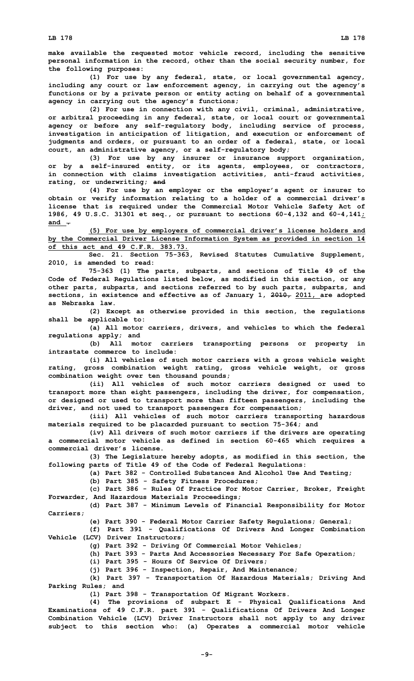**make available the requested motor vehicle record, including the sensitive personal information in the record, other than the social security number, for the following purposes:**

**(1) For use by any federal, state, or local governmental agency, including any court or law enforcement agency, in carrying out the agency's functions or by <sup>a</sup> private person or entity acting on behalf of <sup>a</sup> governmental agency in carrying out the agency's functions;**

**(2) For use in connection with any civil, criminal, administrative, or arbitral proceeding in any federal, state, or local court or governmental agency or before any self-regulatory body, including service of process, investigation in anticipation of litigation, and execution or enforcement of judgments and orders, or pursuant to an order of <sup>a</sup> federal, state, or local court, an administrative agency, or <sup>a</sup> self-regulatory body;**

**(3) For use by any insurer or insurance support organization, or by <sup>a</sup> self-insured entity, or its agents, employees, or contractors, in connection with claims investigation activities, anti-fraud activities, rating, or underwriting; and**

**(4) For use by an employer or the employer's agent or insurer to obtain or verify information relating to <sup>a</sup> holder of <sup>a</sup> commercial driver's license that is required under the Commercial Motor Vehicle Safety Act of 1986, 49 U.S.C. 31301 et seq., or pursuant to sections 60-4,132 and 60-4,141; and .**

**(5) For use by employers of commercial driver's license holders and by the Commercial Driver License Information System as provided in section 14 of this act and 49 C.F.R. 383.73.**

**Sec. 21. Section 75-363, Revised Statutes Cumulative Supplement, 2010, is amended to read:**

**75-363 (1) The parts, subparts, and sections of Title 49 of the Code of Federal Regulations listed below, as modified in this section, or any other parts, subparts, and sections referred to by such parts, subparts, and sections, in existence and effective as of January 1, 2010, 2011, are adopted as Nebraska law.**

**(2) Except as otherwise provided in this section, the regulations shall be applicable to:**

**(a) All motor carriers, drivers, and vehicles to which the federal regulations apply; and**

**(b) All motor carriers transporting persons or property in intrastate commerce to include:**

**(i) All vehicles of such motor carriers with <sup>a</sup> gross vehicle weight rating, gross combination weight rating, gross vehicle weight, or gross combination weight over ten thousand pounds;**

**(ii) All vehicles of such motor carriers designed or used to transport more than eight passengers, including the driver, for compensation, or designed or used to transport more than fifteen passengers, including the driver, and not used to transport passengers for compensation;**

**(iii) All vehicles of such motor carriers transporting hazardous materials required to be placarded pursuant to section 75-364; and**

**(iv) All drivers of such motor carriers if the drivers are operating <sup>a</sup> commercial motor vehicle as defined in section 60-465 which requires <sup>a</sup> commercial driver's license.**

**(3) The Legislature hereby adopts, as modified in this section, the following parts of Title 49 of the Code of Federal Regulations:**

**(a) Part 382 - Controlled Substances And Alcohol Use And Testing;**

**(b) Part 385 - Safety Fitness Procedures;**

**(c) Part 386 - Rules Of Practice For Motor Carrier, Broker, Freight Forwarder, And Hazardous Materials Proceedings;**

**(d) Part 387 - Minimum Levels of Financial Responsibility for Motor Carriers;**

**(e) Part 390 - Federal Motor Carrier Safety Regulations; General;**

**(f) Part 391 - Qualifications Of Drivers And Longer Combination Vehicle (LCV) Driver Instructors;**

**(g) Part 392 - Driving Of Commercial Motor Vehicles;**

**(h) Part 393 - Parts And Accessories Necessary For Safe Operation;**

**(i) Part 395 - Hours Of Service Of Drivers;**

**(j) Part 396 - Inspection, Repair, And Maintenance;**

**(k) Part 397 - Transportation Of Hazardous Materials; Driving And Parking Rules; and**

**(l) Part 398 - Transportation Of Migrant Workers.**

**(4) The provisions of subpart <sup>E</sup> - Physical Qualifications And Examinations of 49 C.F.R. part 391 - Qualifications Of Drivers And Longer Combination Vehicle (LCV) Driver Instructors shall not apply to any driver subject to this section who: (a) Operates <sup>a</sup> commercial motor vehicle**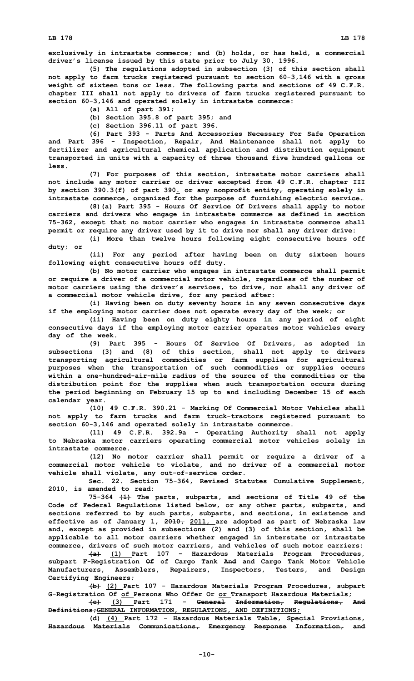**exclusively in intrastate commerce; and (b) holds, or has held, <sup>a</sup> commercial driver's license issued by this state prior to July 30, 1996.**

**(5) The regulations adopted in subsection (3) of this section shall not apply to farm trucks registered pursuant to section 60-3,146 with <sup>a</sup> gross weight of sixteen tons or less. The following parts and sections of 49 C.F.R. chapter III shall not apply to drivers of farm trucks registered pursuant to section 60-3,146 and operated solely in intrastate commerce:**

- **(a) All of part 391;**
- **(b) Section 395.8 of part 395; and**
- **(c) Section 396.11 of part 396.**

**(6) Part 393 - Parts And Accessories Necessary For Safe Operation and Part 396 - Inspection, Repair, And Maintenance shall not apply to fertilizer and agricultural chemical application and distribution equipment transported in units with <sup>a</sup> capacity of three thousand five hundred gallons or less.**

**(7) For purposes of this section, intrastate motor carriers shall not include any motor carrier or driver excepted from 49 C.F.R. chapter III by section 390.3(f) of part 390. or any nonprofit entity, operating solely in intrastate commerce, organized for the purpose of furnishing electric service.**

**(8)(a) Part 395 - Hours Of Service Of Drivers shall apply to motor carriers and drivers who engage in intrastate commerce as defined in section 75-362, except that no motor carrier who engages in intrastate commerce shall permit or require any driver used by it to drive nor shall any driver drive:**

**(i) More than twelve hours following eight consecutive hours off duty; or**

**(ii) For any period after having been on duty sixteen hours following eight consecutive hours off duty.**

**(b) No motor carrier who engages in intrastate commerce shall permit or require <sup>a</sup> driver of <sup>a</sup> commercial motor vehicle, regardless of the number of motor carriers using the driver's services, to drive, nor shall any driver of <sup>a</sup> commercial motor vehicle drive, for any period after:**

**(i) Having been on duty seventy hours in any seven consecutive days if the employing motor carrier does not operate every day of the week; or**

**(ii) Having been on duty eighty hours in any period of eight consecutive days if the employing motor carrier operates motor vehicles every day of the week.**

**(9) Part 395 - Hours Of Service Of Drivers, as adopted in subsections (3) and (8) of this section, shall not apply to drivers transporting agricultural commodities or farm supplies for agricultural purposes when the transportation of such commodities or supplies occurs within a one-hundred-air-mile radius of the source of the commodities or the distribution point for the supplies when such transportation occurs during the period beginning on February 15 up to and including December 15 of each calendar year.**

**(10) 49 C.F.R. 390.21 - Marking Of Commercial Motor Vehicles shall not apply to farm trucks and farm truck-tractors registered pursuant to section 60-3,146 and operated solely in intrastate commerce.**

**(11) 49 C.F.R. 392.9a - Operating Authority shall not apply to Nebraska motor carriers operating commercial motor vehicles solely in intrastate commerce.**

**(12) No motor carrier shall permit or require <sup>a</sup> driver of <sup>a</sup> commercial motor vehicle to violate, and no driver of <sup>a</sup> commercial motor vehicle shall violate, any out-of-service order.**

**Sec. 22. Section 75-364, Revised Statutes Cumulative Supplement, 2010, is amended to read:**

**75-364 (1) The parts, subparts, and sections of Title 49 of the Code of Federal Regulations listed below, or any other parts, subparts, and sections referred to by such parts, subparts, and sections, in existence and effective as of January 1, 2010, 2011, are adopted as part of Nebraska law and, except as provided in subsections (2) and (3) of this section, shall be applicable to all motor carriers whether engaged in interstate or intrastate commerce, drivers of such motor carriers, and vehicles of such motor carriers:**

**(a) (1) Part 107 - Hazardous Materials Program Procedures, subpart F-Registration Of of Cargo Tank And and Cargo Tank Motor Vehicle Manufacturers, Assemblers, Repairers, Inspectors, Testers, and Design Certifying Engineers;**

**(b) (2) Part 107 - Hazardous Materials Program Procedures, subpart G-Registration Of of Persons Who Offer Or or Transport Hazardous Materials;**

**(c) (3) Part 171 - General Information, Regulations, And Definitions;GENERAL INFORMATION, REGULATIONS, AND DEFINITIONS;**

**(d) (4) Part 172 - Hazardous Materials Table, Special Provisions, Hazardous Materials Communications, Emergency Response Information, and**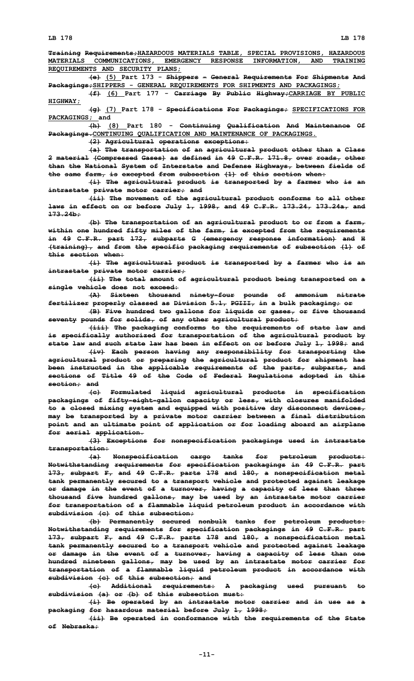**Training Requirements;HAZARDOUS MATERIALS TABLE, SPECIAL PROVISIONS, HAZARDOUS MATERIALS COMMUNICATIONS, EMERGENCY RESPONSE INFORMATION, AND TRAINING REQUIREMENTS AND SECURITY PLANS;**

**(e) (5) Part 173 - Shippers - General Requirements For Shipments And Packagings;SHIPPERS - GENERAL REQUIREMENTS FOR SHIPMENTS AND PACKAGINGS;**

**(f) (6) Part 177 - Carriage By Public Highway;CARRIAGE BY PUBLIC HIGHWAY;**

**(g) (7) Part 178 - Specifications For Packagings; SPECIFICATIONS FOR PACKAGINGS; and**

**(h) (8) Part 180 - Continuing Qualification And Maintenance Of Packagings.CONTINUING QUALIFICATION AND MAINTENANCE OF PACKAGINGS.**

**(2) Agricultural operations exceptions:**

**(a) The transportation of an agricultural product other than <sup>a</sup> Class 2 material (Compressed Gases) as defined in 49 C.F.R. 171.8, over roads, other than the National System of Interstate and Defense Highways, between fields of the same farm, is excepted from subsection (1) of this section when:**

**(i) The agricultural product is transported by <sup>a</sup> farmer who is an intrastate private motor carrier; and**

**(ii) The movement of the agricultural product conforms to all other laws in effect on or before July 1, 1998, and 49 C.F.R. 173.24, 173.24a, and 173.24b;**

**(b) The transportation of an agricultural product to or from <sup>a</sup> farm, within one hundred fifty miles of the farm, is excepted from the requirements in 49 C.F.R. part 172, subparts G (emergency response information) and <sup>H</sup> (training), and from the specific packaging requirements of subsection (1) of this section when:**

**(i) The agricultural product is transported by <sup>a</sup> farmer who is an intrastate private motor carrier;**

**(ii) The total amount of agricultural product being transported on <sup>a</sup> single vehicle does not exceed:**

**(A) Sixteen thousand ninety-four pounds of ammonium nitrate fertilizer properly classed as Division 5.1, PGIII, in <sup>a</sup> bulk packaging; or**

**(B) Five hundred two gallons for liquids or gases, or five thousand seventy pounds for solids, of any other agricultural product;**

**(iii) The packaging conforms to the requirements of state law and is specifically authorized for transportation of the agricultural product by state law and such state law has been in effect on or before July 1, 1998; and**

**(iv) Each person having any responsibility for transporting the agricultural product or preparing the agricultural product for shipment has been instructed in the applicable requirements of the parts, subparts, and sections of Title 49 of the Code of Federal Regulations adopted in this section; and**

**(c) Formulated liquid agricultural products in specification packagings of fifty-eight-gallon capacity or less, with closures manifolded to <sup>a</sup> closed mixing system and equipped with positive dry disconnect devices, may be transported by <sup>a</sup> private motor carrier between <sup>a</sup> final distribution point and an ultimate point of application or for loading aboard an airplane for aerial application.**

**(3) Exceptions for nonspecification packagings used in intrastate transportation:**

**(a) Nonspecification cargo tanks for petroleum products: Notwithstanding requirements for specification packagings in 49 C.F.R. part 173, subpart F, and 49 C.F.R. parts 178 and 180, <sup>a</sup> nonspecification metal tank permanently secured to <sup>a</sup> transport vehicle and protected against leakage or damage in the event of <sup>a</sup> turnover, having <sup>a</sup> capacity of less than three thousand five hundred gallons, may be used by an intrastate motor carrier for transportation of <sup>a</sup> flammable liquid petroleum product in accordance with subdivision (c) of this subsection;**

**(b) Permanently secured nonbulk tanks for petroleum products: Notwithstanding requirements for specification packagings in 49 C.F.R. part 173, subpart F, and 49 C.F.R. parts 178 and 180, <sup>a</sup> nonspecification metal tank permanently secured to <sup>a</sup> transport vehicle and protected against leakage or damage in the event of <sup>a</sup> turnover, having <sup>a</sup> capacity of less than one hundred nineteen gallons, may be used by an intrastate motor carrier for transportation of <sup>a</sup> flammable liquid petroleum product in accordance with subdivision (c) of this subsection; and**

**(c) Additional requirements: <sup>A</sup> packaging used pursuant to subdivision (a) or (b) of this subsection must:**

**(i) Be operated by an intrastate motor carrier and in use as <sup>a</sup> packaging for hazardous material before July 1, 1998;**

**(ii) Be operated in conformance with the requirements of the State of Nebraska;**